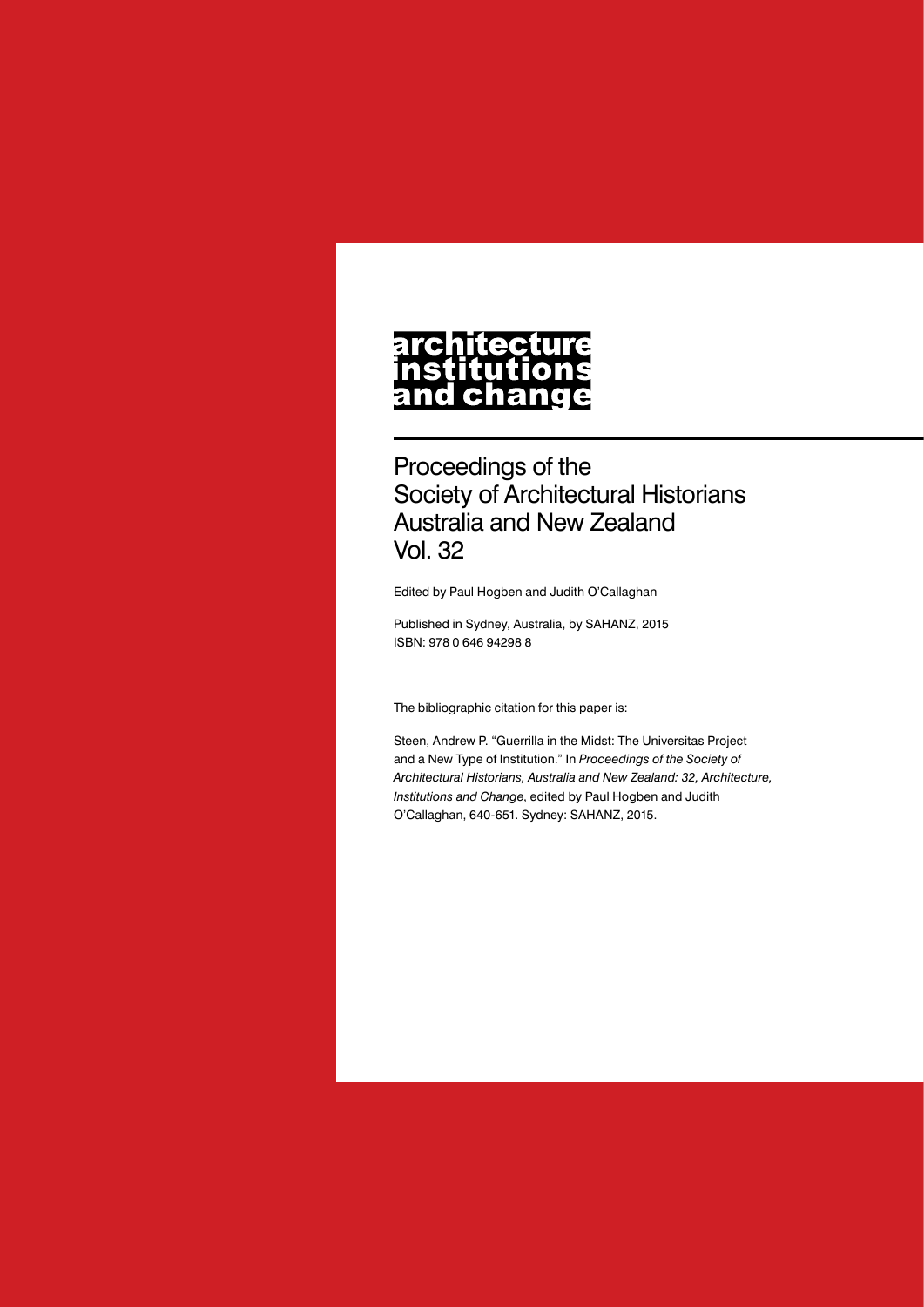#### **architecture** nstitutions **ch** nd a

Proceedings of the Society of Architectural Historians Australia and New Zealand Vol. 32

Edited by Paul Hogben and Judith O'Callaghan

Published in Sydney, Australia, by SAHANZ, 2015 ISBN: 978 0 646 94298 8

The bibliographic citation for this paper is:

Steen, Andrew P. "Guerrilla in the Midst: The Universitas Project and a New Type of Institution." In *Proceedings of the Society of Architectural Historians, Australia and New Zealand: 32, Architecture, Institutions and Change*, edited by Paul Hogben and Judith O'Callaghan, 640-651. Sydney: SAHANZ, 2015.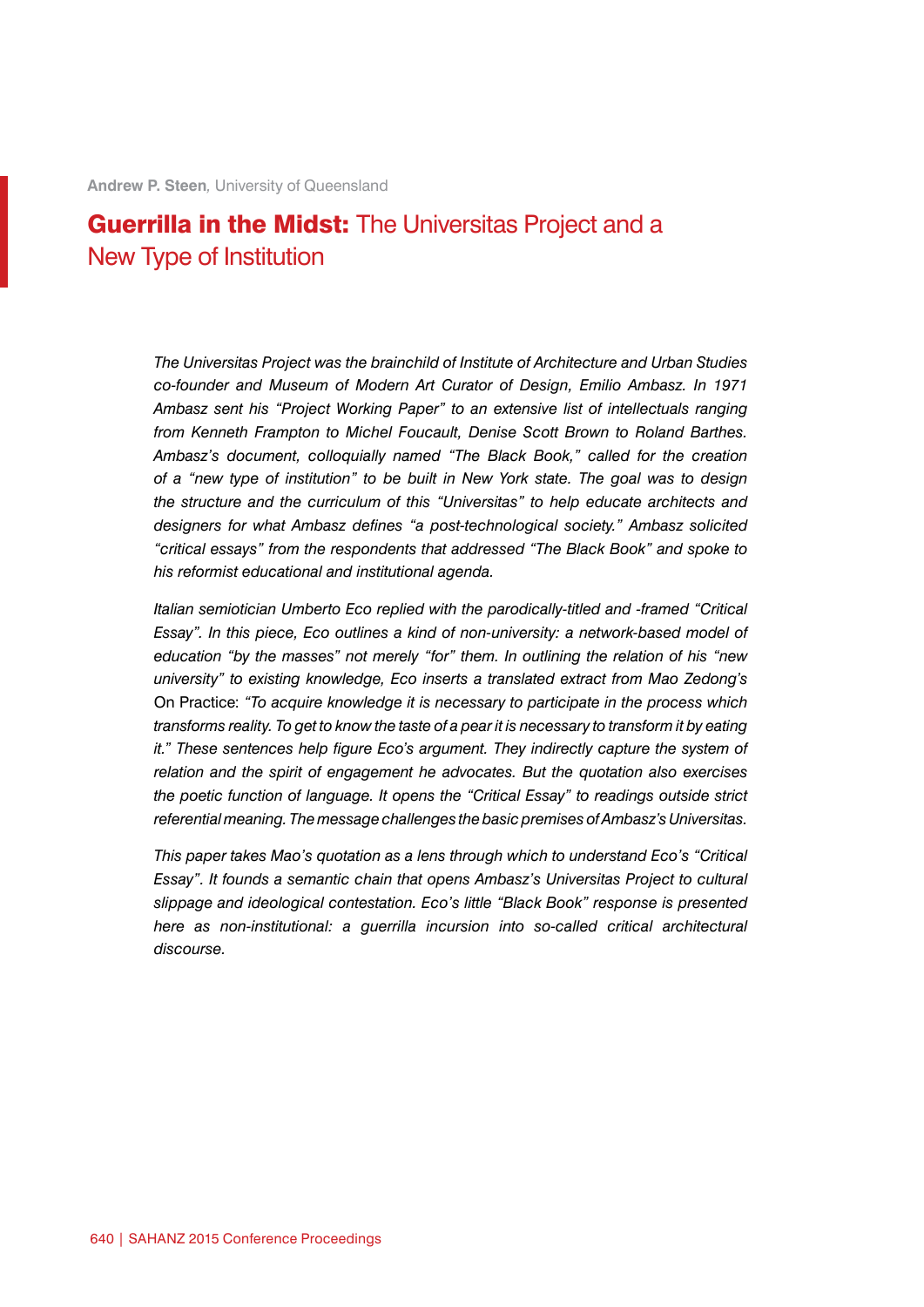# Guerrilla in the Midst: The Universitas Project and a New Type of Institution

*The Universitas Project was the brainchild of Institute of Architecture and Urban Studies co-founder and Museum of Modern Art Curator of Design, Emilio Ambasz. In 1971 Ambasz sent his "Project Working Paper" to an extensive list of intellectuals ranging from Kenneth Frampton to Michel Foucault, Denise Scott Brown to Roland Barthes. Ambasz's document, colloquially named "The Black Book," called for the creation of a "new type of institution" to be built in New York state. The goal was to design the structure and the curriculum of this "Universitas" to help educate architects and designers for what Ambasz defines "a post-technological society." Ambasz solicited "critical essays" from the respondents that addressed "The Black Book" and spoke to his reformist educational and institutional agenda.*

*Italian semiotician Umberto Eco replied with the parodically-titled and -framed "Critical Essay". In this piece, Eco outlines a kind of non-university: a network-based model of education "by the masses" not merely "for" them. In outlining the relation of his "new university" to existing knowledge, Eco inserts a translated extract from Mao Zedong's*  On Practice: *"To acquire knowledge it is necessary to participate in the process which transforms reality. To get to know the taste of a pear it is necessary to transform it by eating it."* These sentences help figure Eco's argument. They indirectly capture the system of *relation and the spirit of engagement he advocates. But the quotation also exercises the poetic function of language. It opens the "Critical Essay" to readings outside strict referential meaning. The message challenges the basic premises of Ambasz's Universitas.*

*This paper takes Mao's quotation as a lens through which to understand Eco's "Critical Essay". It founds a semantic chain that opens Ambasz's Universitas Project to cultural slippage and ideological contestation. Eco's little "Black Book" response is presented here as non-institutional: a guerrilla incursion into so-called critical architectural discourse.*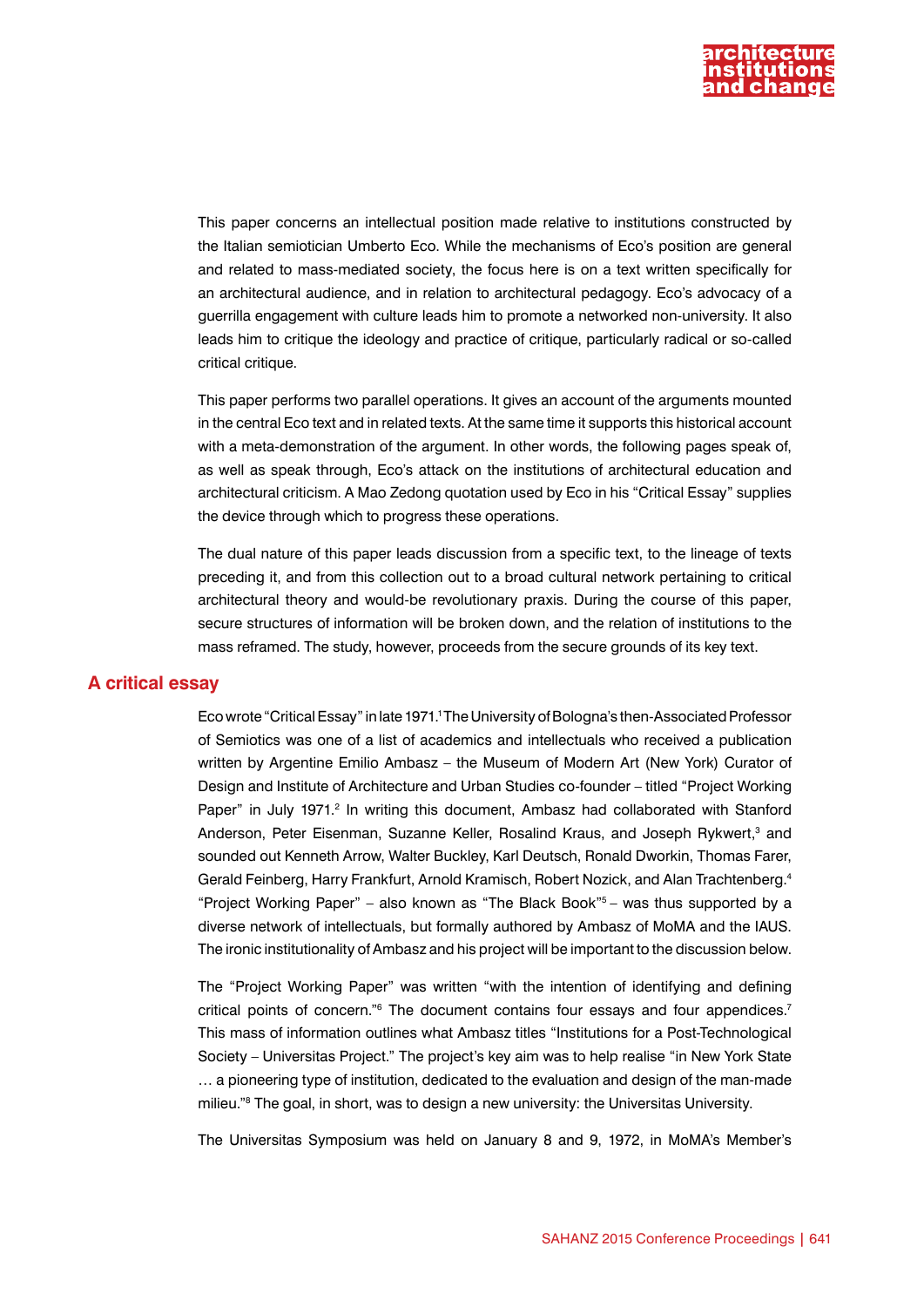

This paper concerns an intellectual position made relative to institutions constructed by the Italian semiotician Umberto Eco. While the mechanisms of Eco's position are general and related to mass-mediated society, the focus here is on a text written specifically for an architectural audience, and in relation to architectural pedagogy. Eco's advocacy of a guerrilla engagement with culture leads him to promote a networked non-university. It also leads him to critique the ideology and practice of critique, particularly radical or so-called critical critique.

This paper performs two parallel operations. It gives an account of the arguments mounted in the central Eco text and in related texts. At the same time it supports this historical account with a meta-demonstration of the argument. In other words, the following pages speak of, as well as speak through, Eco's attack on the institutions of architectural education and architectural criticism. A Mao Zedong quotation used by Eco in his "Critical Essay" supplies the device through which to progress these operations.

The dual nature of this paper leads discussion from a specific text, to the lineage of texts preceding it, and from this collection out to a broad cultural network pertaining to critical architectural theory and would-be revolutionary praxis. During the course of this paper, secure structures of information will be broken down, and the relation of institutions to the mass reframed. The study, however, proceeds from the secure grounds of its key text.

#### **A critical essay**

Eco wrote "Critical Essay" in late 1971.1 The University of Bologna's then-Associated Professor of Semiotics was one of a list of academics and intellectuals who received a publication written by Argentine Emilio Ambasz – the Museum of Modern Art (New York) Curator of Design and Institute of Architecture and Urban Studies co-founder – titled "Project Working Paper" in July 1971.<sup>2</sup> In writing this document, Ambasz had collaborated with Stanford Anderson, Peter Eisenman, Suzanne Keller, Rosalind Kraus, and Joseph Rykwert,<sup>3</sup> and sounded out Kenneth Arrow, Walter Buckley, Karl Deutsch, Ronald Dworkin, Thomas Farer, Gerald Feinberg, Harry Frankfurt, Arnold Kramisch, Robert Nozick, and Alan Trachtenberg.4 "Project Working Paper" – also known as "The Black Book" $5 -$  was thus supported by a diverse network of intellectuals, but formally authored by Ambasz of MoMA and the IAUS. The ironic institutionality of Ambasz and his project will be important to the discussion below.

The "Project Working Paper" was written "with the intention of identifying and defining critical points of concern."<sup>6</sup> The document contains four essays and four appendices.<sup>7</sup> This mass of information outlines what Ambasz titles "Institutions for a Post-Technological Society – Universitas Project." The project's key aim was to help realise "in New York State … a pioneering type of institution, dedicated to the evaluation and design of the man-made milieu."8 The goal, in short, was to design a new university: the Universitas University.

The Universitas Symposium was held on January 8 and 9, 1972, in MoMA's Member's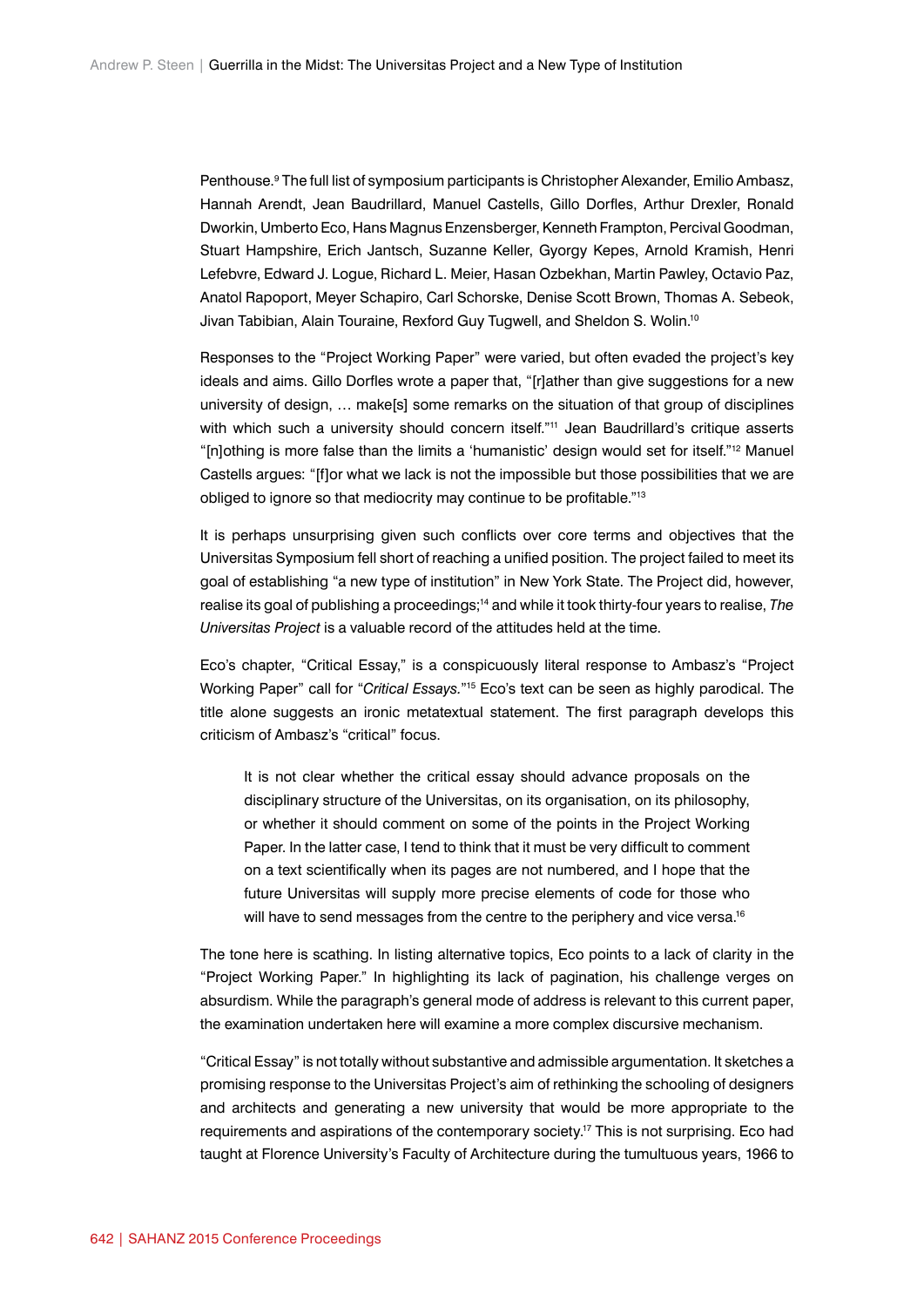Penthouse.<sup>9</sup> The full list of symposium participants is Christopher Alexander, Emilio Ambasz, Hannah Arendt, Jean Baudrillard, Manuel Castells, Gillo Dorfles, Arthur Drexler, Ronald Dworkin, Umberto Eco, Hans Magnus Enzensberger, Kenneth Frampton, Percival Goodman, Stuart Hampshire, Erich Jantsch, Suzanne Keller, Gyorgy Kepes, Arnold Kramish, Henri Lefebvre, Edward J. Logue, Richard L. Meier, Hasan Ozbekhan, Martin Pawley, Octavio Paz, Anatol Rapoport, Meyer Schapiro, Carl Schorske, Denise Scott Brown, Thomas A. Sebeok, Jivan Tabibian, Alain Touraine, Rexford Guy Tugwell, and Sheldon S. Wolin.<sup>10</sup>

Responses to the "Project Working Paper" were varied, but often evaded the project's key ideals and aims. Gillo Dorfles wrote a paper that, "[r]ather than give suggestions for a new university of design, … make[s] some remarks on the situation of that group of disciplines with which such a university should concern itself."<sup>11</sup> Jean Baudrillard's critique asserts "[n]othing is more false than the limits a 'humanistic' design would set for itself."12 Manuel Castells argues: "[f]or what we lack is not the impossible but those possibilities that we are obliged to ignore so that mediocrity may continue to be profitable."<sup>13</sup>

It is perhaps unsurprising given such conflicts over core terms and objectives that the Universitas Symposium fell short of reaching a unified position. The project failed to meet its goal of establishing "a new type of institution" in New York State. The Project did, however, realise its goal of publishing a proceedings;14 and while it took thirty-four years to realise, *The Universitas Project* is a valuable record of the attitudes held at the time.

Eco's chapter, "Critical Essay," is a conspicuously literal response to Ambasz's "Project Working Paper" call for "*Critical Essays.*"15 Eco's text can be seen as highly parodical. The title alone suggests an ironic metatextual statement. The first paragraph develops this criticism of Ambasz's "critical" focus.

It is not clear whether the critical essay should advance proposals on the disciplinary structure of the Universitas, on its organisation, on its philosophy, or whether it should comment on some of the points in the Project Working Paper. In the latter case, I tend to think that it must be very difficult to comment on a text scientifically when its pages are not numbered, and I hope that the future Universitas will supply more precise elements of code for those who will have to send messages from the centre to the periphery and vice versa.<sup>16</sup>

The tone here is scathing. In listing alternative topics, Eco points to a lack of clarity in the "Project Working Paper." In highlighting its lack of pagination, his challenge verges on absurdism. While the paragraph's general mode of address is relevant to this current paper, the examination undertaken here will examine a more complex discursive mechanism.

"Critical Essay" is not totally without substantive and admissible argumentation. It sketches a promising response to the Universitas Project's aim of rethinking the schooling of designers and architects and generating a new university that would be more appropriate to the requirements and aspirations of the contemporary society.<sup>17</sup> This is not surprising. Eco had taught at Florence University's Faculty of Architecture during the tumultuous years, 1966 to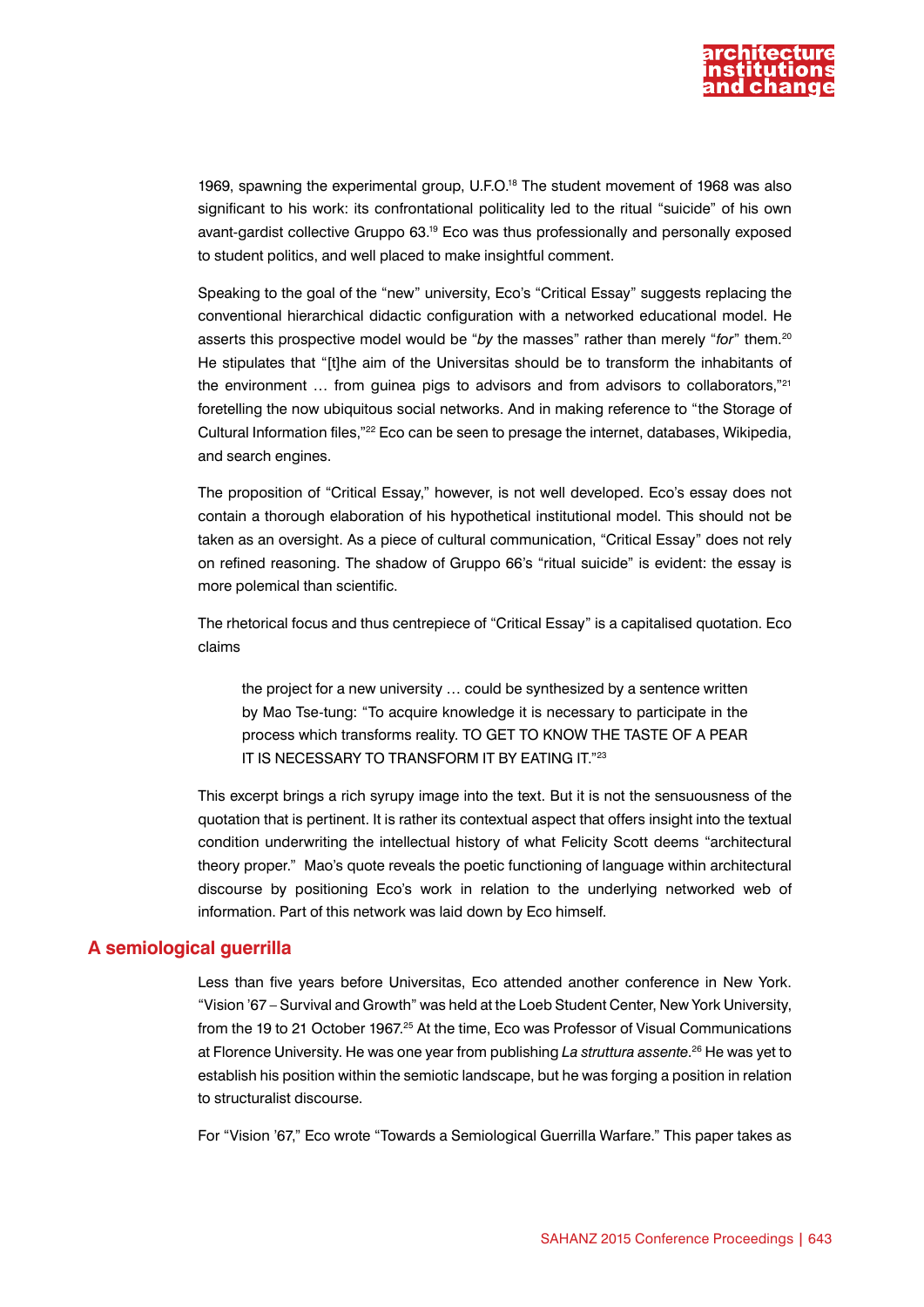

1969, spawning the experimental group, U.F.O.18 The student movement of 1968 was also significant to his work: its confrontational politicality led to the ritual "suicide" of his own avant-gardist collective Gruppo 63.19 Eco was thus professionally and personally exposed to student politics, and well placed to make insightful comment.

Speaking to the goal of the "new" university, Eco's "Critical Essay" suggests replacing the conventional hierarchical didactic configuration with a networked educational model. He asserts this prospective model would be "*by* the masses" rather than merely "*for*" them.20 He stipulates that "[t]he aim of the Universitas should be to transform the inhabitants of the environment ... from guinea pigs to advisors and from advisors to collaborators,"<sup>21</sup> foretelling the now ubiquitous social networks. And in making reference to "the Storage of Cultural Information files,"22 Eco can be seen to presage the internet, databases, Wikipedia, and search engines.

The proposition of "Critical Essay," however, is not well developed. Eco's essay does not contain a thorough elaboration of his hypothetical institutional model. This should not be taken as an oversight. As a piece of cultural communication, "Critical Essay" does not rely on refined reasoning. The shadow of Gruppo 66's "ritual suicide" is evident: the essay is more polemical than scientific.

The rhetorical focus and thus centrepiece of "Critical Essay" is a capitalised quotation. Eco claims

the project for a new university … could be synthesized by a sentence written by Mao Tse-tung: "To acquire knowledge it is necessary to participate in the process which transforms reality. TO GET TO KNOW THE TASTE OF A PEAR IT IS NECESSARY TO TRANSFORM IT BY EATING IT."23

This excerpt brings a rich syrupy image into the text. But it is not the sensuousness of the quotation that is pertinent. It is rather its contextual aspect that offers insight into the textual condition underwriting the intellectual history of what Felicity Scott deems "architectural theory proper." Mao's quote reveals the poetic functioning of language within architectural discourse by positioning Eco's work in relation to the underlying networked web of information. Part of this network was laid down by Eco himself.

#### **A semiological guerrilla**

Less than five years before Universitas, Eco attended another conference in New York. "Vision '67 – Survival and Growth" was held at the Loeb Student Center, New York University, from the 19 to 21 October 1967.<sup>25</sup> At the time, Eco was Professor of Visual Communications at Florence University. He was one year from publishing *La struttura assente*. 26 He was yet to establish his position within the semiotic landscape, but he was forging a position in relation to structuralist discourse.

For "Vision '67," Eco wrote "Towards a Semiological Guerrilla Warfare." This paper takes as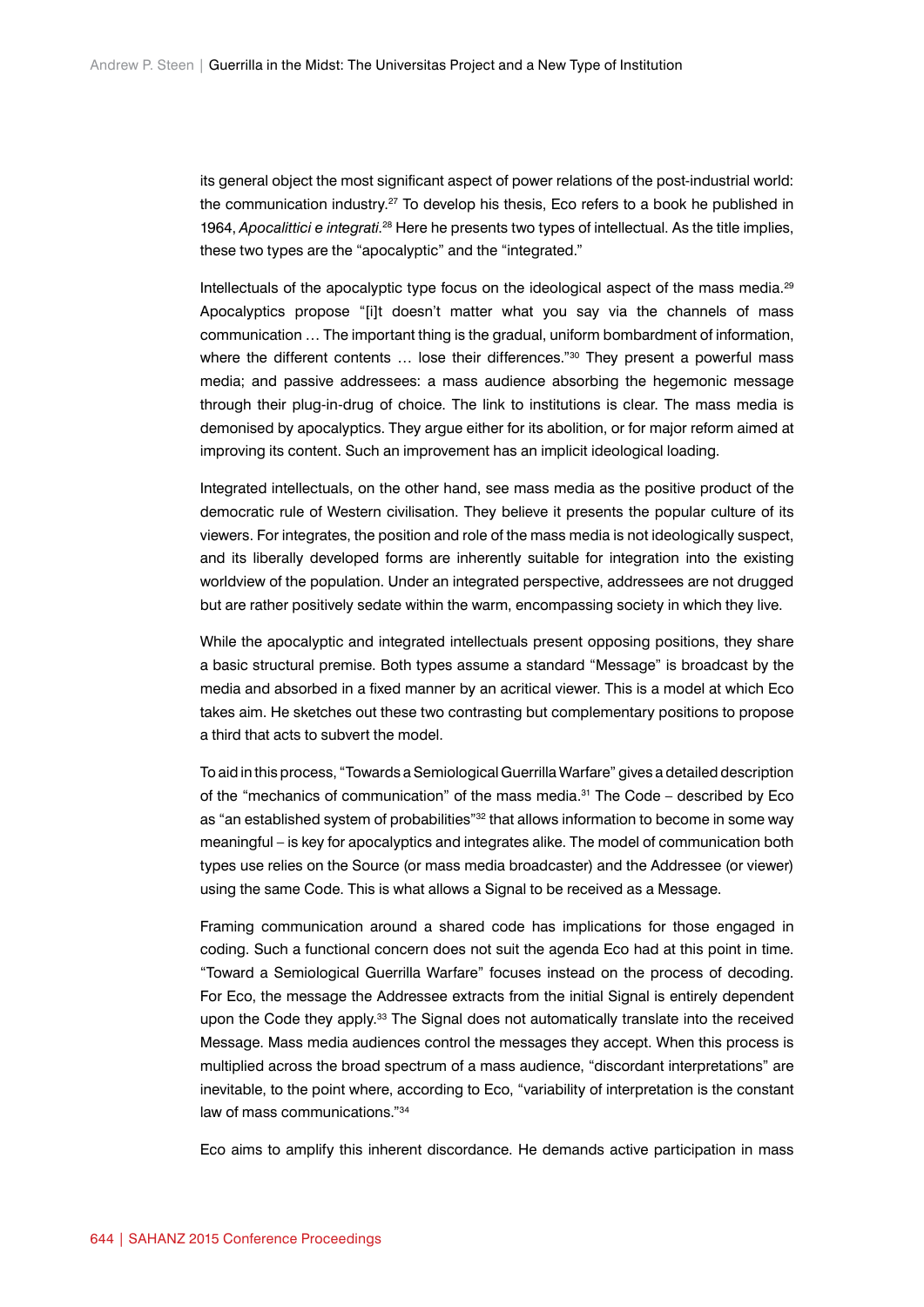its general object the most significant aspect of power relations of the post-industrial world: the communication industry.27 To develop his thesis, Eco refers to a book he published in 1964, *Apocalittici e integrati.<sup>28</sup>* Here he presents two types of intellectual. As the title implies, these two types are the "apocalyptic" and the "integrated."

Intellectuals of the apocalyptic type focus on the ideological aspect of the mass media.<sup>29</sup> Apocalyptics propose "[i]t doesn't matter what you say via the channels of mass communication … The important thing is the gradual, uniform bombardment of information, where the different contents ... lose their differences."<sup>30</sup> They present a powerful mass media; and passive addressees: a mass audience absorbing the hegemonic message through their plug-in-drug of choice. The link to institutions is clear. The mass media is demonised by apocalyptics. They argue either for its abolition, or for major reform aimed at improving its content. Such an improvement has an implicit ideological loading.

Integrated intellectuals, on the other hand, see mass media as the positive product of the democratic rule of Western civilisation. They believe it presents the popular culture of its viewers. For integrates, the position and role of the mass media is not ideologically suspect, and its liberally developed forms are inherently suitable for integration into the existing worldview of the population. Under an integrated perspective, addressees are not drugged but are rather positively sedate within the warm, encompassing society in which they live.

While the apocalyptic and integrated intellectuals present opposing positions, they share a basic structural premise. Both types assume a standard "Message" is broadcast by the media and absorbed in a fixed manner by an acritical viewer. This is a model at which Eco takes aim. He sketches out these two contrasting but complementary positions to propose a third that acts to subvert the model.

To aid in this process, "Towards a Semiological Guerrilla Warfare" gives a detailed description of the "mechanics of communication" of the mass media.<sup>31</sup> The Code – described by Eco as "an established system of probabilities"<sup>32</sup> that allows information to become in some way meaningful – is key for apocalyptics and integrates alike. The model of communication both types use relies on the Source (or mass media broadcaster) and the Addressee (or viewer) using the same Code. This is what allows a Signal to be received as a Message.

Framing communication around a shared code has implications for those engaged in coding. Such a functional concern does not suit the agenda Eco had at this point in time. "Toward a Semiological Guerrilla Warfare" focuses instead on the process of decoding. For Eco, the message the Addressee extracts from the initial Signal is entirely dependent upon the Code they apply.<sup>33</sup> The Signal does not automatically translate into the received Message. Mass media audiences control the messages they accept. When this process is multiplied across the broad spectrum of a mass audience, "discordant interpretations" are inevitable, to the point where, according to Eco, "variability of interpretation is the constant law of mass communications."34

Eco aims to amplify this inherent discordance. He demands active participation in mass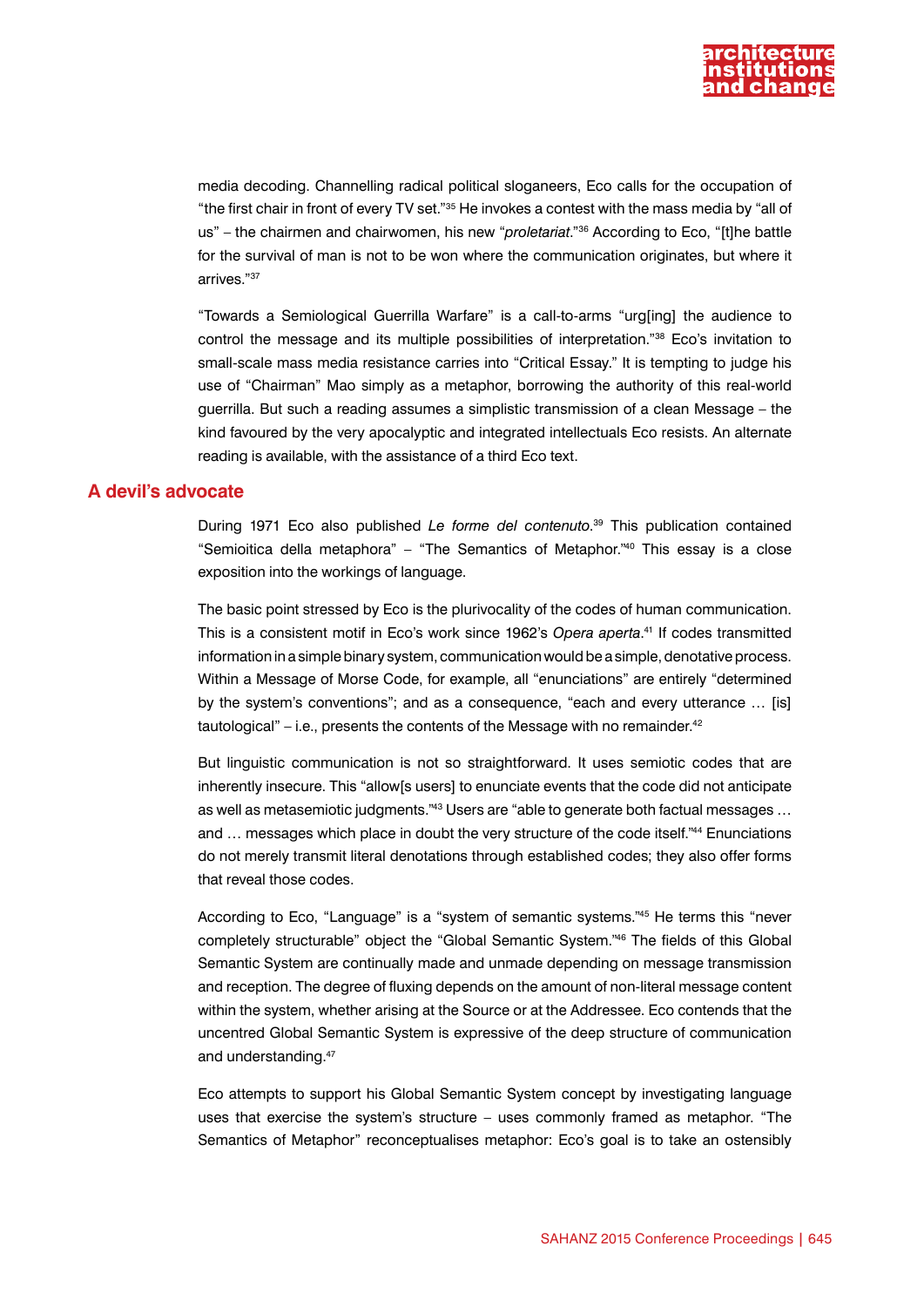

media decoding. Channelling radical political sloganeers, Eco calls for the occupation of "the first chair in front of every TV set."35 He invokes a contest with the mass media by "all of us" – the chairmen and chairwomen, his new "*proletariat*."36 According to Eco, "[t]he battle for the survival of man is not to be won where the communication originates, but where it arrives."37

"Towards a Semiological Guerrilla Warfare" is a call-to-arms "urg[ing] the audience to control the message and its multiple possibilities of interpretation."38 Eco's invitation to small-scale mass media resistance carries into "Critical Essay." It is tempting to judge his use of "Chairman" Mao simply as a metaphor, borrowing the authority of this real-world guerrilla. But such a reading assumes a simplistic transmission of a clean Message – the kind favoured by the very apocalyptic and integrated intellectuals Eco resists. An alternate reading is available, with the assistance of a third Eco text.

## **A devil's advocate**

During 1971 Eco also published *Le forme del contenuto*. 39 This publication contained "Semioitica della metaphora" – "The Semantics of Metaphor."40 This essay is a close exposition into the workings of language.

The basic point stressed by Eco is the plurivocality of the codes of human communication. This is a consistent motif in Eco's work since 1962's *Opera aperta*. 41 If codes transmitted information in a simple binary system, communication would be a simple, denotative process. Within a Message of Morse Code, for example, all "enunciations" are entirely "determined by the system's conventions"; and as a consequence, "each and every utterance … [is] tautological" – i.e., presents the contents of the Message with no remainder.<sup>42</sup>

But linguistic communication is not so straightforward. It uses semiotic codes that are inherently insecure. This "allow[s users] to enunciate events that the code did not anticipate as well as metasemiotic judgments."43 Users are "able to generate both factual messages … and ... messages which place in doubt the very structure of the code itself."44 Enunciations do not merely transmit literal denotations through established codes; they also offer forms that reveal those codes.

According to Eco, "Language" is a "system of semantic systems."45 He terms this "never completely structurable" object the "Global Semantic System."46 The fields of this Global Semantic System are continually made and unmade depending on message transmission and reception. The degree of fluxing depends on the amount of non-literal message content within the system, whether arising at the Source or at the Addressee. Eco contends that the uncentred Global Semantic System is expressive of the deep structure of communication and understanding.47

Eco attempts to support his Global Semantic System concept by investigating language uses that exercise the system's structure – uses commonly framed as metaphor. "The Semantics of Metaphor" reconceptualises metaphor: Eco's goal is to take an ostensibly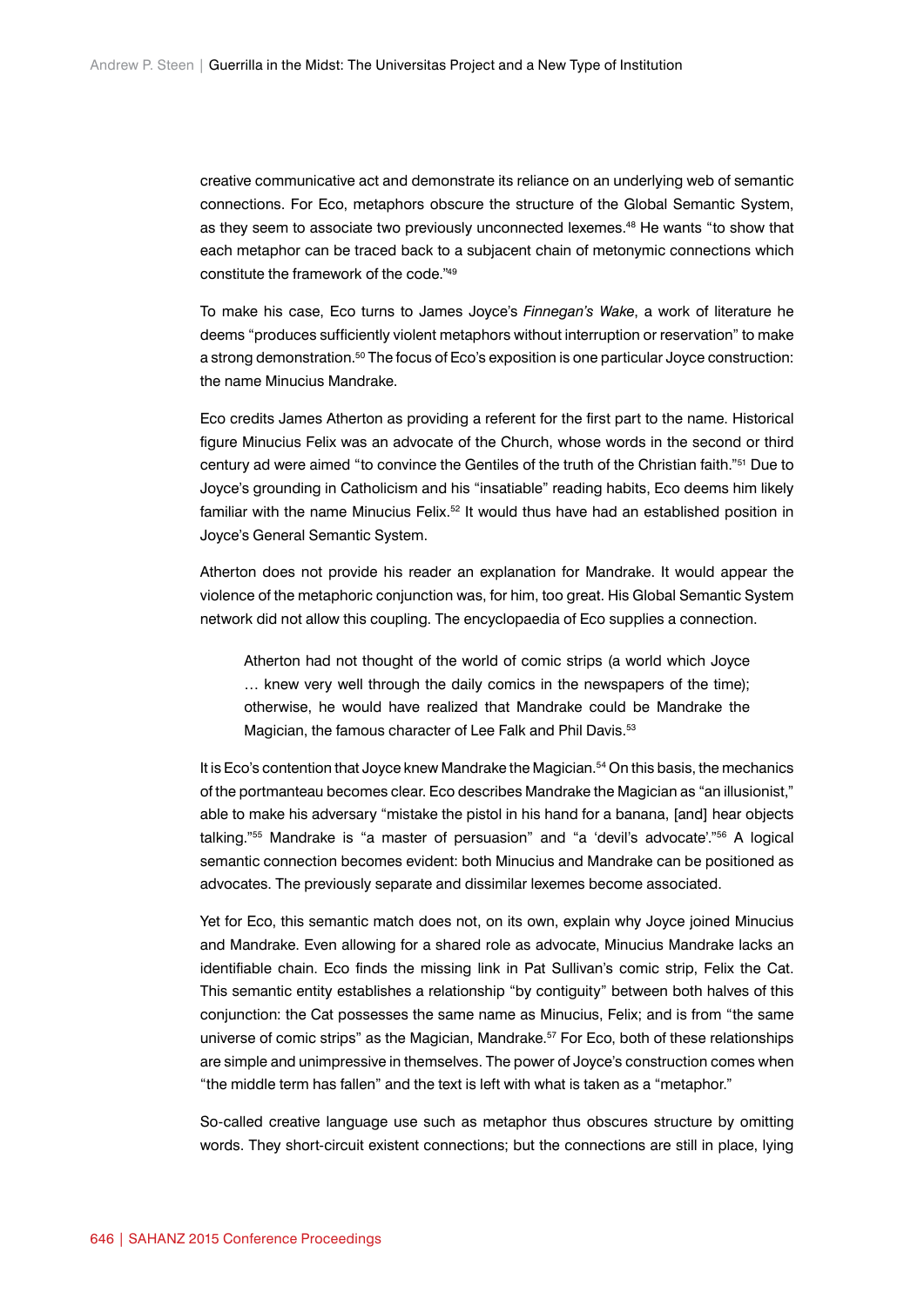creative communicative act and demonstrate its reliance on an underlying web of semantic connections. For Eco, metaphors obscure the structure of the Global Semantic System, as they seem to associate two previously unconnected lexemes.48 He wants "to show that each metaphor can be traced back to a subjacent chain of metonymic connections which constitute the framework of the code."49

To make his case, Eco turns to James Joyce's *Finnegan's Wake*, a work of literature he deems "produces sufficiently violent metaphors without interruption or reservation" to make a strong demonstration.<sup>50</sup> The focus of Eco's exposition is one particular Joyce construction: the name Minucius Mandrake.

Eco credits James Atherton as providing a referent for the first part to the name. Historical figure Minucius Felix was an advocate of the Church, whose words in the second or third century ad were aimed "to convince the Gentiles of the truth of the Christian faith."51 Due to Joyce's grounding in Catholicism and his "insatiable" reading habits, Eco deems him likely familiar with the name Minucius Felix. $52$  It would thus have had an established position in Joyce's General Semantic System.

Atherton does not provide his reader an explanation for Mandrake. It would appear the violence of the metaphoric conjunction was, for him, too great. His Global Semantic System network did not allow this coupling. The encyclopaedia of Eco supplies a connection.

Atherton had not thought of the world of comic strips (a world which Joyce … knew very well through the daily comics in the newspapers of the time); otherwise, he would have realized that Mandrake could be Mandrake the Magician, the famous character of Lee Falk and Phil Davis.<sup>53</sup>

It is Eco's contention that Joyce knew Mandrake the Magician.<sup>54</sup> On this basis, the mechanics of the portmanteau becomes clear. Eco describes Mandrake the Magician as "an illusionist," able to make his adversary "mistake the pistol in his hand for a banana, [and] hear objects talking."55 Mandrake is "a master of persuasion" and "a 'devil's advocate'."56 A logical semantic connection becomes evident: both Minucius and Mandrake can be positioned as advocates. The previously separate and dissimilar lexemes become associated.

Yet for Eco, this semantic match does not, on its own, explain why Joyce joined Minucius and Mandrake. Even allowing for a shared role as advocate, Minucius Mandrake lacks an identifiable chain. Eco finds the missing link in Pat Sullivan's comic strip, Felix the Cat. This semantic entity establishes a relationship "by contiguity" between both halves of this conjunction: the Cat possesses the same name as Minucius, Felix; and is from "the same universe of comic strips" as the Magician, Mandrake.<sup>57</sup> For Eco, both of these relationships are simple and unimpressive in themselves. The power of Joyce's construction comes when "the middle term has fallen" and the text is left with what is taken as a "metaphor."

So-called creative language use such as metaphor thus obscures structure by omitting words. They short-circuit existent connections; but the connections are still in place, lying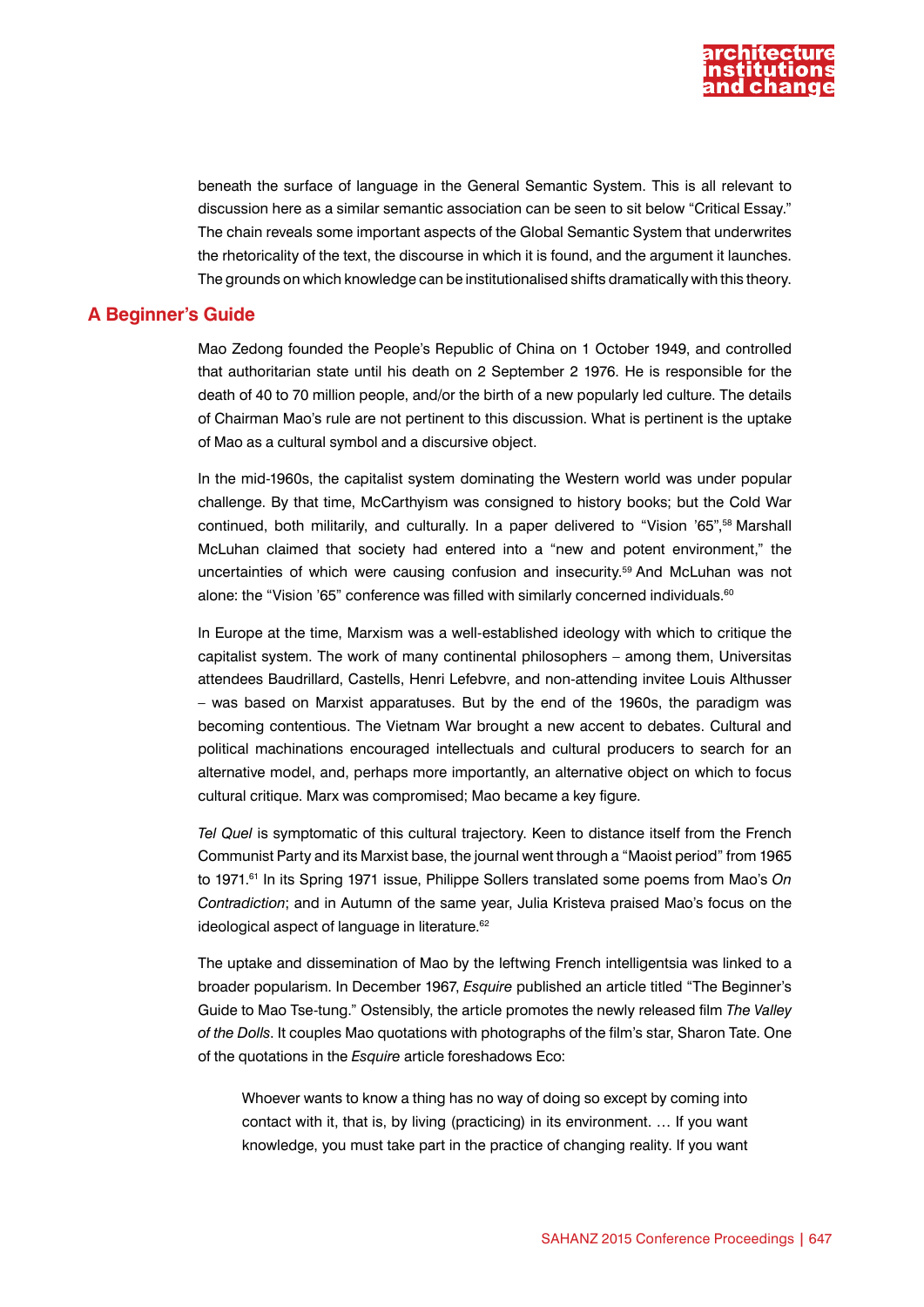

beneath the surface of language in the General Semantic System. This is all relevant to discussion here as a similar semantic association can be seen to sit below "Critical Essay." The chain reveals some important aspects of the Global Semantic System that underwrites the rhetoricality of the text, the discourse in which it is found, and the argument it launches. The grounds on which knowledge can be institutionalised shifts dramatically with this theory.

## **A Beginner's Guide**

Mao Zedong founded the People's Republic of China on 1 October 1949, and controlled that authoritarian state until his death on 2 September 2 1976. He is responsible for the death of 40 to 70 million people, and/or the birth of a new popularly led culture. The details of Chairman Mao's rule are not pertinent to this discussion. What is pertinent is the uptake of Mao as a cultural symbol and a discursive object.

In the mid-1960s, the capitalist system dominating the Western world was under popular challenge. By that time, McCarthyism was consigned to history books; but the Cold War continued, both militarily, and culturally. In a paper delivered to "Vision '65",58 Marshall McLuhan claimed that society had entered into a "new and potent environment," the uncertainties of which were causing confusion and insecurity.59 And McLuhan was not alone: the "Vision '65" conference was filled with similarly concerned individuals.<sup>60</sup>

In Europe at the time, Marxism was a well-established ideology with which to critique the capitalist system. The work of many continental philosophers – among them, Universitas attendees Baudrillard, Castells, Henri Lefebvre, and non-attending invitee Louis Althusser – was based on Marxist apparatuses. But by the end of the 1960s, the paradigm was becoming contentious. The Vietnam War brought a new accent to debates. Cultural and political machinations encouraged intellectuals and cultural producers to search for an alternative model, and, perhaps more importantly, an alternative object on which to focus cultural critique. Marx was compromised; Mao became a key figure.

*Tel Quel* is symptomatic of this cultural trajectory. Keen to distance itself from the French Communist Party and its Marxist base, the journal went through a "Maoist period" from 1965 to 1971.<sup>61</sup> In its Spring 1971 issue, Philippe Sollers translated some poems from Mao's *On Contradiction*; and in Autumn of the same year, Julia Kristeva praised Mao's focus on the ideological aspect of language in literature.<sup>62</sup>

The uptake and dissemination of Mao by the leftwing French intelligentsia was linked to a broader popularism. In December 1967, *Esquire* published an article titled "The Beginner's Guide to Mao Tse-tung." Ostensibly, the article promotes the newly released film *The Valley of the Dolls*. It couples Mao quotations with photographs of the film's star, Sharon Tate. One of the quotations in the *Esquire* article foreshadows Eco:

Whoever wants to know a thing has no way of doing so except by coming into contact with it, that is, by living (practicing) in its environment. … If you want knowledge, you must take part in the practice of changing reality. If you want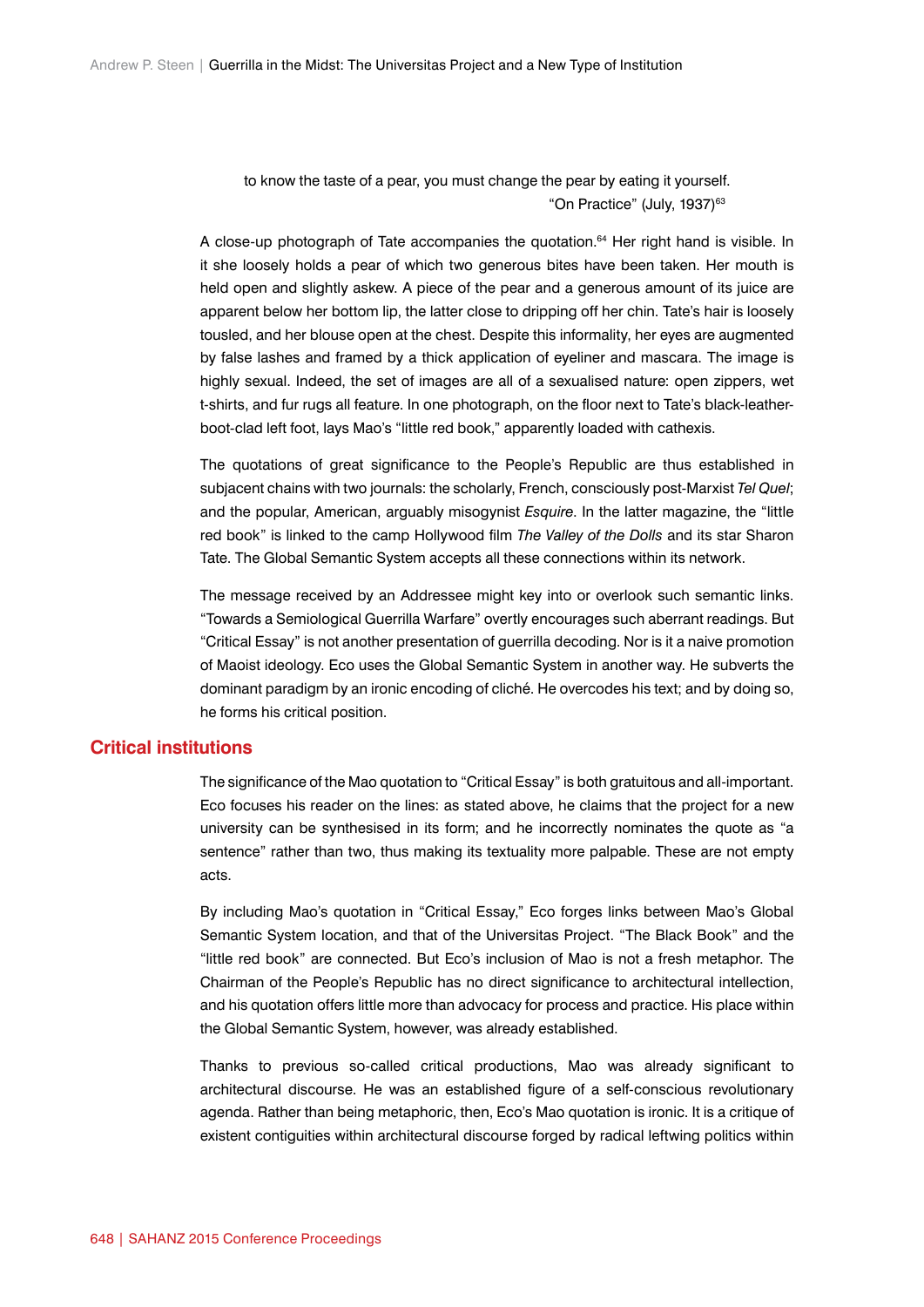to know the taste of a pear, you must change the pear by eating it yourself. "On Practice" (July, 1937)<sup>63</sup>

A close-up photograph of Tate accompanies the quotation.<sup>64</sup> Her right hand is visible. In it she loosely holds a pear of which two generous bites have been taken. Her mouth is held open and slightly askew. A piece of the pear and a generous amount of its juice are apparent below her bottom lip, the latter close to dripping off her chin. Tate's hair is loosely tousled, and her blouse open at the chest. Despite this informality, her eyes are augmented by false lashes and framed by a thick application of eyeliner and mascara. The image is highly sexual. Indeed, the set of images are all of a sexualised nature: open zippers, wet t-shirts, and fur rugs all feature. In one photograph, on the floor next to Tate's black-leatherboot-clad left foot, lays Mao's "little red book," apparently loaded with cathexis.

The quotations of great significance to the People's Republic are thus established in subjacent chains with two journals: the scholarly, French, consciously post-Marxist *Tel Quel*; and the popular, American, arguably misogynist *Esquire*. In the latter magazine, the "little red book" is linked to the camp Hollywood film *The Valley of the Dolls* and its star Sharon Tate. The Global Semantic System accepts all these connections within its network.

The message received by an Addressee might key into or overlook such semantic links. "Towards a Semiological Guerrilla Warfare" overtly encourages such aberrant readings. But "Critical Essay" is not another presentation of guerrilla decoding. Nor is it a naive promotion of Maoist ideology. Eco uses the Global Semantic System in another way. He subverts the dominant paradigm by an ironic encoding of cliché. He overcodes his text; and by doing so, he forms his critical position.

## **Critical institutions**

The significance of the Mao quotation to "Critical Essay" is both gratuitous and all-important. Eco focuses his reader on the lines: as stated above, he claims that the project for a new university can be synthesised in its form; and he incorrectly nominates the quote as "a sentence" rather than two, thus making its textuality more palpable. These are not empty acts.

By including Mao's quotation in "Critical Essay," Eco forges links between Mao's Global Semantic System location, and that of the Universitas Project. "The Black Book" and the "little red book" are connected. But Eco's inclusion of Mao is not a fresh metaphor. The Chairman of the People's Republic has no direct significance to architectural intellection, and his quotation offers little more than advocacy for process and practice. His place within the Global Semantic System, however, was already established.

Thanks to previous so-called critical productions, Mao was already significant to architectural discourse. He was an established figure of a self-conscious revolutionary agenda. Rather than being metaphoric, then, Eco's Mao quotation is ironic. It is a critique of existent contiguities within architectural discourse forged by radical leftwing politics within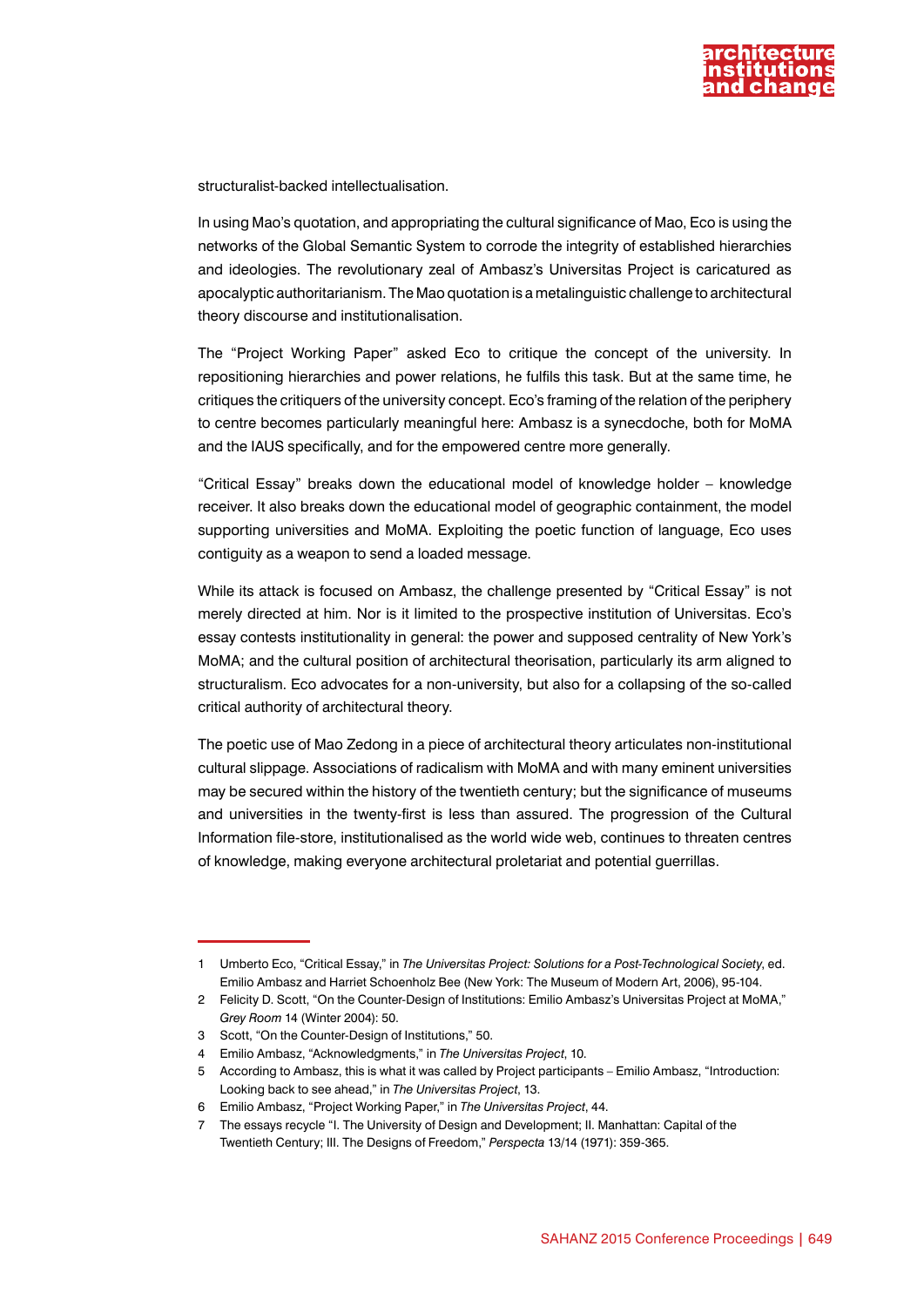

structuralist-backed intellectualisation.

In using Mao's quotation, and appropriating the cultural significance of Mao, Eco is using the networks of the Global Semantic System to corrode the integrity of established hierarchies and ideologies. The revolutionary zeal of Ambasz's Universitas Project is caricatured as apocalyptic authoritarianism. The Mao quotation is a metalinguistic challenge to architectural theory discourse and institutionalisation.

The "Project Working Paper" asked Eco to critique the concept of the university. In repositioning hierarchies and power relations, he fulfils this task. But at the same time, he critiques the critiquers of the university concept. Eco's framing of the relation of the periphery to centre becomes particularly meaningful here: Ambasz is a synecdoche, both for MoMA and the IAUS specifically, and for the empowered centre more generally.

"Critical Essay" breaks down the educational model of knowledge holder – knowledge receiver. It also breaks down the educational model of geographic containment, the model supporting universities and MoMA. Exploiting the poetic function of language, Eco uses contiguity as a weapon to send a loaded message.

While its attack is focused on Ambasz, the challenge presented by "Critical Essay" is not merely directed at him. Nor is it limited to the prospective institution of Universitas. Eco's essay contests institutionality in general: the power and supposed centrality of New York's MoMA; and the cultural position of architectural theorisation, particularly its arm aligned to structuralism. Eco advocates for a non-university, but also for a collapsing of the so-called critical authority of architectural theory.

The poetic use of Mao Zedong in a piece of architectural theory articulates non-institutional cultural slippage. Associations of radicalism with MoMA and with many eminent universities may be secured within the history of the twentieth century; but the significance of museums and universities in the twenty-first is less than assured. The progression of the Cultural Information file-store, institutionalised as the world wide web, continues to threaten centres of knowledge, making everyone architectural proletariat and potential guerrillas.

<sup>1</sup> Umberto Eco, "Critical Essay," in *The Universitas Project: Solutions for a Post-Technological Society*, ed. Emilio Ambasz and Harriet Schoenholz Bee (New York: The Museum of Modern Art, 2006), 95-104.

<sup>2</sup> Felicity D. Scott, "On the Counter-Design of Institutions: Emilio Ambasz's Universitas Project at MoMA," *Grey Room* 14 (Winter 2004): 50.

<sup>3</sup> Scott, "On the Counter-Design of Institutions," 50.

<sup>4</sup> Emilio Ambasz, "Acknowledgments," in *The Universitas Project*, 10.

<sup>5</sup> According to Ambasz, this is what it was called by Project participants – Emilio Ambasz, "Introduction: Looking back to see ahead," in *The Universitas Project*, 13.

<sup>6</sup> Emilio Ambasz, "Project Working Paper," in *The Universitas Project*, 44.

<sup>7</sup> The essays recycle "I. The University of Design and Development; II. Manhattan: Capital of the Twentieth Century; III. The Designs of Freedom," *Perspecta* 13/14 (1971): 359-365.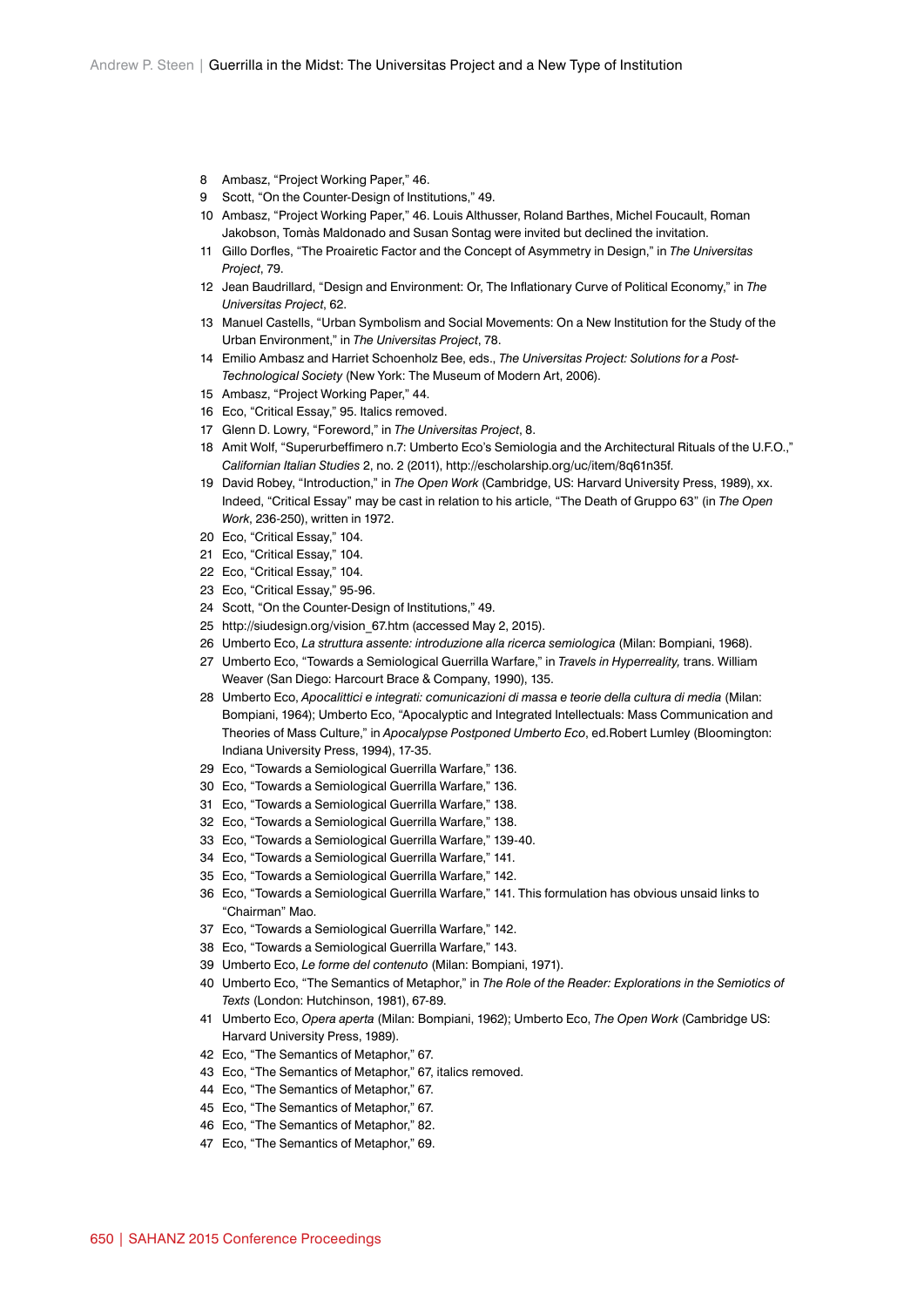- Ambasz, "Project Working Paper," 46.
- Scott, "On the Counter-Design of Institutions," 49.
- Ambasz, "Project Working Paper," 46. Louis Althusser, Roland Barthes, Michel Foucault, Roman Jakobson, Tomàs Maldonado and Susan Sontag were invited but declined the invitation.
- Gillo Dorfles, "The Proairetic Factor and the Concept of Asymmetry in Design," in *The Universitas Project*, 79.
- Jean Baudrillard, "Design and Environment: Or, The Inflationary Curve of Political Economy," in *The Universitas Project*, 62.
- Manuel Castells, "Urban Symbolism and Social Movements: On a New Institution for the Study of the Urban Environment," in *The Universitas Project*, 78.
- Emilio Ambasz and Harriet Schoenholz Bee, eds., *The Universitas Project: Solutions for a Post-Technological Society* (New York: The Museum of Modern Art, 2006).
- Ambasz, "Project Working Paper," 44.
- Eco, "Critical Essay," 95. Italics removed.
- Glenn D. Lowry, "Foreword," in *The Universitas Project*, 8.
- Amit Wolf, "Superurbeffimero n.7: Umberto Eco's Semiologia and the Architectural Rituals of the U.F.O.," *Californian Italian Studies* 2, no. 2 (2011), http://escholarship.org/uc/item/8q61n35f.
- David Robey, "Introduction," in *The Open Work* (Cambridge, US: Harvard University Press, 1989), xx. Indeed, "Critical Essay" may be cast in relation to his article, "The Death of Gruppo 63" (in *The Open Work*, 236-250), written in 1972.
- Eco, "Critical Essay," 104.
- Eco, "Critical Essay," 104.
- Eco, "Critical Essay," 104.
- Eco, "Critical Essay," 95-96.
- Scott, "On the Counter-Design of Institutions," 49.
- http://siudesign.org/vision\_67.htm (accessed May 2, 2015).
- Umberto Eco, *La struttura assente: introduzione alla ricerca semiologica* (Milan: Bompiani, 1968).
- Umberto Eco, "Towards a Semiological Guerrilla Warfare," in *Travels in Hyperreality,* trans. William Weaver (San Diego: Harcourt Brace & Company, 1990), 135.
- Umberto Eco, *Apocalittici e integrati: comunicazioni di massa e teorie della cultura di media* (Milan: Bompiani, 1964); Umberto Eco, "Apocalyptic and Integrated Intellectuals: Mass Communication and Theories of Mass Culture," in *Apocalypse Postponed Umberto Eco*, ed.Robert Lumley (Bloomington: Indiana University Press, 1994), 17-35.
- Eco, "Towards a Semiological Guerrilla Warfare," 136.
- Eco, "Towards a Semiological Guerrilla Warfare," 136.
- Eco, "Towards a Semiological Guerrilla Warfare," 138.
- Eco, "Towards a Semiological Guerrilla Warfare," 138.
- Eco, "Towards a Semiological Guerrilla Warfare," 139-40.
- Eco, "Towards a Semiological Guerrilla Warfare," 141.
- Eco, "Towards a Semiological Guerrilla Warfare," 142.
- Eco, "Towards a Semiological Guerrilla Warfare," 141. This formulation has obvious unsaid links to "Chairman" Mao.
- Eco, "Towards a Semiological Guerrilla Warfare," 142.
- Eco, "Towards a Semiological Guerrilla Warfare," 143.
- Umberto Eco, *Le forme del contenuto* (Milan: Bompiani, 1971).
- Umberto Eco, "The Semantics of Metaphor," in *The Role of the Reader: Explorations in the Semiotics of Texts* (London: Hutchinson, 1981), 67-89.
- Umberto Eco, *Opera aperta* (Milan: Bompiani, 1962); Umberto Eco, *The Open Work* (Cambridge US: Harvard University Press, 1989).
- Eco, "The Semantics of Metaphor," 67.
- Eco, "The Semantics of Metaphor," 67, italics removed.
- Eco, "The Semantics of Metaphor," 67.
- Eco, "The Semantics of Metaphor," 67.
- Eco, "The Semantics of Metaphor," 82.
- Eco, "The Semantics of Metaphor," 69.